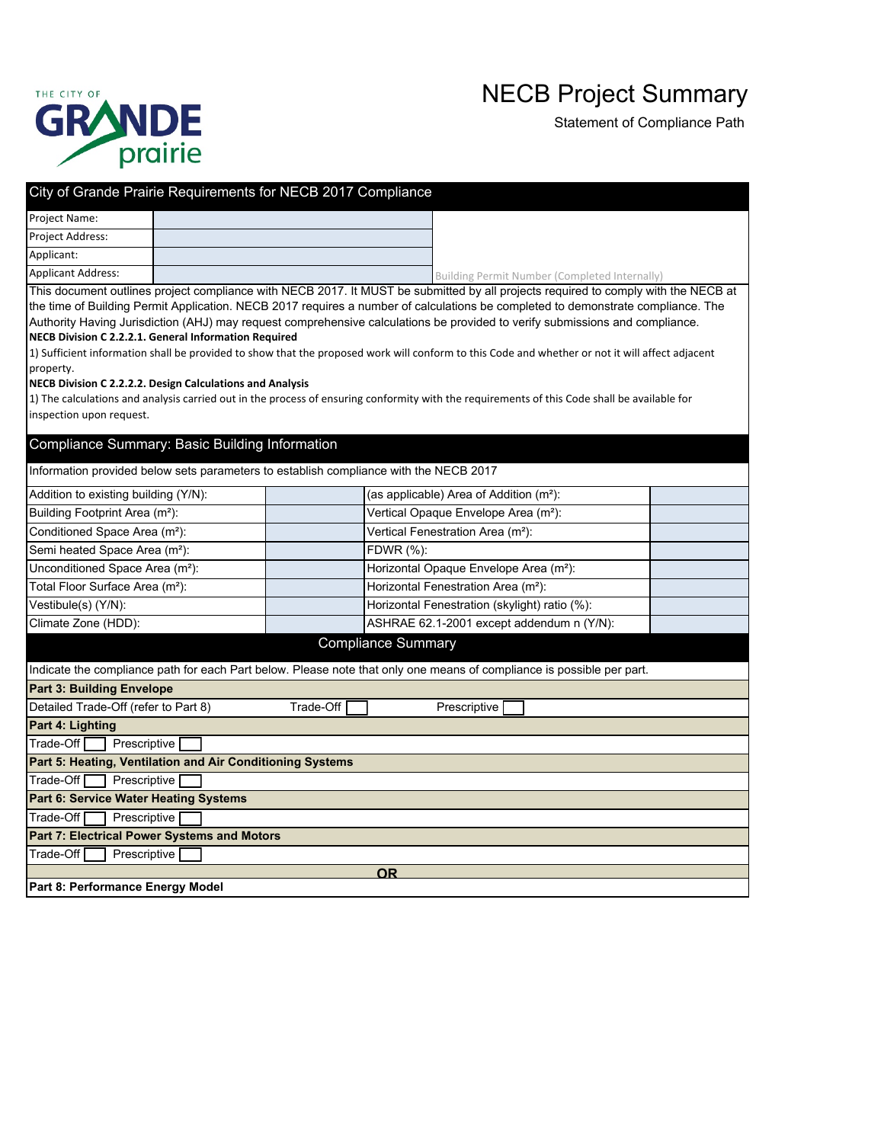

# NECB Project Summary

Building Permit Number (Completed Internally)

Statement of Compliance Path

## City of Grande Prairie Requirements for NECB 2017 Compliance

Project Name: Project Address: Applicant: Applicant Address:

This document outlines project compliance with NECB 2017. It MUST be submitted by all projects required to comply with the NECB at the time of Building Permit Application. NECB 2017 requires a number of calculations be completed to demonstrate compliance. The Authority Having Jurisdiction (AHJ) may request comprehensive calculations be provided to verify submissions and compliance.

#### **NECB Division C 2.2.2.1. General Information Required**

1) Sufficient information shall be provided to show that the proposed work will conform to this Code and whether or not it will affect adjacent property.

#### **NECB Division C 2.2.2.2. Design Calculations and Analysis**

1) The calculations and analysis carried out in the process of ensuring conformity with the requirements of this Code shall be available for inspection upon request.

### Compliance Summary: Basic Building Information

Information provided below sets parameters to establish compliance with the NECB 2017

| Addition to existing building (Y/N):                                                                                  | (as applicable) Area of Addition (m <sup>2</sup> ): |  |  |  |  |
|-----------------------------------------------------------------------------------------------------------------------|-----------------------------------------------------|--|--|--|--|
| Building Footprint Area (m <sup>2</sup> ):                                                                            | Vertical Opaque Envelope Area (m <sup>2</sup> ):    |  |  |  |  |
| Conditioned Space Area (m <sup>2</sup> ):                                                                             | Vertical Fenestration Area (m <sup>2</sup> ):       |  |  |  |  |
| Semi heated Space Area (m <sup>2</sup> ):                                                                             | <b>FDWR (%):</b>                                    |  |  |  |  |
| Unconditioned Space Area (m <sup>2</sup> ):                                                                           | Horizontal Opaque Envelope Area (m <sup>2</sup> ):  |  |  |  |  |
| Total Floor Surface Area (m <sup>2</sup> ):                                                                           | Horizontal Fenestration Area (m <sup>2</sup> ):     |  |  |  |  |
| Vestibule(s) (Y/N):                                                                                                   | Horizontal Fenestration (skylight) ratio (%):       |  |  |  |  |
| Climate Zone (HDD):                                                                                                   | ASHRAE 62.1-2001 except addendum n (Y/N):           |  |  |  |  |
| <b>Compliance Summary</b>                                                                                             |                                                     |  |  |  |  |
| Indicate the compliance path for each Part below. Please note that only one means of compliance is possible per part. |                                                     |  |  |  |  |
| <b>Part 3: Building Envelope</b>                                                                                      |                                                     |  |  |  |  |
| Detailed Trade-Off (refer to Part 8)<br>Trade-Off<br>Prescriptive [                                                   |                                                     |  |  |  |  |
| Part 4: Lighting                                                                                                      |                                                     |  |  |  |  |
| Trade-Off<br>Prescriptive                                                                                             |                                                     |  |  |  |  |
| Part 5: Heating, Ventilation and Air Conditioning Systems                                                             |                                                     |  |  |  |  |
| Trade-Off [<br>Prescriptive                                                                                           |                                                     |  |  |  |  |
| <b>Part 6: Service Water Heating Systems</b>                                                                          |                                                     |  |  |  |  |
| Trade-Off<br>Prescriptive [                                                                                           |                                                     |  |  |  |  |
| <b>Part 7: Electrical Power Systems and Motors</b>                                                                    |                                                     |  |  |  |  |
| Trade-Off<br>Prescriptive                                                                                             |                                                     |  |  |  |  |
| <b>OR</b>                                                                                                             |                                                     |  |  |  |  |
| Part 8: Performance Energy Model                                                                                      |                                                     |  |  |  |  |